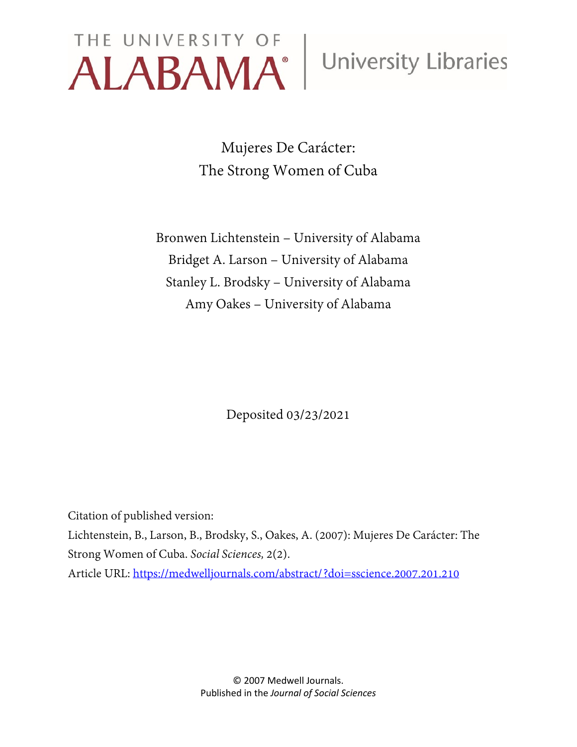# THE UNIVERSITY OF University Libraries

Mujeres De Carácter: The Strong Women of Cuba

Bronwen Lichtenstein – University of Alabama Bridget A. Larson – University of Alabama Stanley L. Brodsky – University of Alabama Amy Oakes – University of Alabama

Deposited 03/23/2021

Citation of published version:

Lichtenstein, B., Larson, B., Brodsky, S., Oakes, A. (2007): Mujeres De Carácter: The Strong Women of Cuba. *Social Sciences,* 2(2). Article URL:<https://medwelljournals.com/abstract/?doi=sscience.2007.201.210>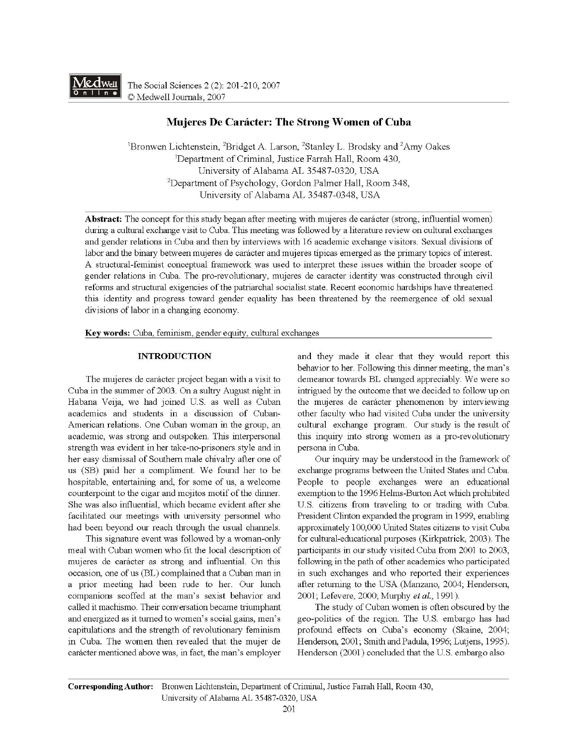

The Social Sciences 2 (2): 201-210, 2007 © Medwell Journals, 2007

# **Mujeres De Caracter: The Strong Women of Cuba**

<sup>1</sup>Bronwen Lichtenstein, <sup>2</sup>Bridget A. Larson, <sup>2</sup>Stanley L. Brodsky and <sup>2</sup>Amy Oakes 1 Department of Criminal, Justice Farrah Hall, Room 430, University of Alabama AL 35487-0320, USA 2 Department of Psychology, Gordon Palmer Hall, Room 348, University of Alabama AL 35487-0348, USA

**Abstract:** The concept for this study began after meeting with mujeres de caracter (strong, influential women) during a cultural exchange visit to Cuba. This meeting was followed by a literature review on cultural exchanges and gender relations in Cuba and then by interviews with 16 academic exchange visitors. Sexual divisions of labor and the binary between mujeres de carácter and mujeres típicas emerged as the primary topics of interest. A structural-feminist conceptual framework was used to interpret these issues within the broader scope of gender relations in Cuba. The pro-revolutionary, mujeres de caracter identity was constructed through civil reforms and structural exigencies of the patriarchal socialist state. Recent economic hardships have threatened this identity and progress toward gender equality has been threatened by the reemergence of old sexual divisions of labor in a changing economy.

**Key words:** Cuba, feminism, gender equity, cultural exchanges

### **INTRODUCTION**

The mujeres de carácter project began with a visit to Cuba in the summer of 2003. On a sultry August night in Habana Veija, we had joined U.S. as well as Cuban academics and students in a discussion of Cuban-American relations. One Cuban woman in the group, an academic, was strong and outspoken. This interpersonal strength was evident in her take-no-prisoners style and in her easy dismissal of Southern male chivalry after one of us (SB) paid her a compliment. We found her to be hospitable, entertaining and, for some of us, a welcome counterpoint to the cigar and mojitos motif of the dinner. She was also influential, which became evident after she facilitated our meetings with university personnel who had been beyond our reach through the usual channels.

This signature event was followed by a woman-only meal with Cuban women who fit the local description of mujeres de caracter as strong and influential. On this occasion, one of us (BL) complained that a Cuban man in a prior meeting had been rude to her. Our lunch companions scoffed at the man's sexist behavior and called it machismo. Their conversation became triumphant and energized as it turned to women's social gains, men's capitulations and the strength of revolutionary feminism in Cuba. The women then revealed that the mujer de caracter mentioned above was, in fact, the man's employer and they made it clear that they would report this behavior to her. Following this dinner meeting, the man's demeanor towards BL changed appreciably. We were so intrigued by the outcome that we decided to follow up on the mujeres de caracter phenomenon by interviewing other faculty who had visited Cuba under the university cultural exchange program. Our study is the result of this inquiry into strong women as a pro-revolutionary persona in Cuba.

Our inquiry may be understood in the framework of exchange programs between the United States and Cuba. People to people exchanges were an educational exemption to the 1996 Helms-Burton Act which prohibited U.S. citizens from traveling to or trading with Cuba. President Clinton expanded the program in 1999, enabling approximately 100,000 United States citizens to visit Cuba for cultural-educational purposes (Kirkpatrick, 2003). The participants in our study visited Cuba from 2001 to 2003, following in the path of other academics who participated in such exchanges and who reported their experiences after returning to the USA (Manzano, 2004; Henderson, 2001; Lefevere, 2000; Murphy *eta!.,* 1991).

The study of Cuban women is often obscured by the geo-politics of the region. The U.S. embargo has had profound effects on Cuba's economy (Skaine, 2004; Henderson, 2001; Smith and Padula, 1996; Lutjens, 1995). Henderson (2001) concluded that the U.S. embargo also

**Corresponding Author:** Bronwen Lichtenstein, Department of Criminal, Justice Farrah Hall, Room 430, University of Alabama AL 35487-0320, USA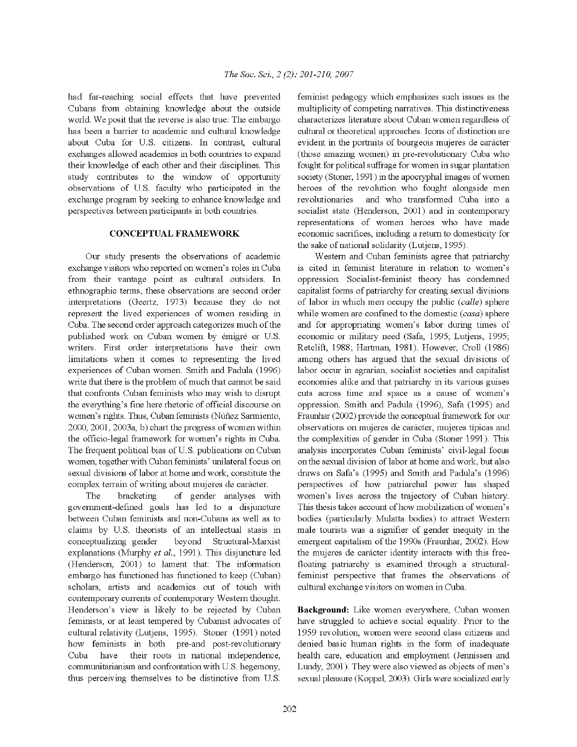had far-reaching social effects that have prevented Cubans from obtaining knowledge about the outside world. We posit that the reverse is also true: The embargo has been a barrier to academic and cultural knowledge about Cuba for U.S. citizens. In contrast, cultural exchanges allowed academics in both countries to expand their knowledge of each other and their disciplines. This study contributes to the window of opportunity observations of U.S. faculty who participated in the exchange program by seeking to enhance knowledge and perspectives between participants in both countries.

# **CONCEPTUAL FRAMEWORK**

Our study presents the observations of academic exchange visitors who reported on women's roles in Cuba from their vantage point as cultural outsiders. In ethnographic terms, these observations are second order interpretations (Geertz, 1973) because they do not represent the lived experiences of women residing in Cuba. The second order approach categorizes much of the published work on Cuban women by émigré or U.S. writers. First order interpretations have their own limitations when it comes to representing the lived experiences of Cuban women. Smith and Padula (1996) write that there is the problem of much that cannot be said that confronts Cuban feminists who may wish to disrupt the everything's fine here rhetoric of official discourse on women's rights. Thus, Cuban feminists (Nufiez Sarmiento, 2000, 2001, 2003a, b) chart the progress of women within the officio-legal framework for women's rights in Cuba. The frequent political bias of U.S. publications on Cuban women, together with Cuban feminists' unilateral focus on sexual divisions of labor at home and work, constitute the complex terrain of writing about mujeres de carácter.

The bracketing of gender analyses with government-defined goals has led to a disjuncture between Cuban feminists and non-Cubans as well as to claims by U.S. theorists of an intellectual stasis in conceptualizing gender beyond Structural-Marxist explanations (Mwphy *et al.,* 1991). This disjuncture led (Henderson, 2001) to lament that: The information embargo has functioned has functioned to keep (Cuban) scholars, artists and academics out of touch with contemporary currents of contemporary Western thought. Henderson's view is likely to be rejected by Cuban feminists, or at least tempered by Cubanist advocates of cultural relativity (Lutjens, 1995). Stoner (1991) noted how feminists in both pre-and post-revolutionary Cuba have their roots in national independence, comm unitarianism and confrontation with U.S. hegemony, thus perceiving themselves to be distinctive from U.S.

feminist pedagogy which emphasizes such issues as the multiplicity of competing narratives. This distinctiveness characterizes literature about Cuban women regardless of cultural or theoretical approaches. Icons of distinction are evident in the portraits of bourgeois mujeres de carácter ( those amazing women) in pre-revolutionary Cuba who fought for political suffrage for women in sugar plantation society (Stoner, 1991) in the apocryphal images of women heroes of the revolution who fought alongside men revolutionaries and who transformed Cuba into a socialist state (Henderson, 2001) and in contemporary representations of women heroes who have made economic sacrifices, including a return to domesticity for the sake of national solidarity (Lutjens, 1995).

Western and Cuban feminists agree that patriarchy is cited in feminist literature in relation to women's oppression. Socialist-feminist theory has condemned capitalist forms of patriarchy for creating sexual divisions of labor in which men occupy the public ( *calle)* sphere while women are confined to the domestic *(casa)* sphere and for appropriating women's labor during times of economic or military need (Safa, 1995; Lutjens, 1995; Retclift, 1988; Hartman, 1981). However, Croll (1986) among others has argued that the sexual divisions of labor occur in agrarian, socialist societies and capitalist economies alike and that patriarchy in its various guises cuts across time and space as a cause of women's oppression. Smith and Padula (1996), Safa (1995) and Fraunhar (2002) provide the conceptual framework for our observations on mujeres de carácter, mujeres típicas and the complexities of gender in Cuba (Stoner 1991 ). This analysis incorporates Cuban feminists' civil-legal focus on the sexual division of labor at home and work, but also draws on Safa's (1995) and Smith and Padula's (1996) perspectives of how patriarchal power has shaped women's lives across the trajectory of Cuban history. This thesis takes account of how mobilization of women's bodies (particularly Mulatta bodies) to attract Western male tourists was a signifier of gender inequity in the emergent capitalism of the 1990s (Fraunhar, 2002). How the mujeres de carácter identity interacts with this freefloating patriarchy is examined through a structuralfeminist perspective that frames the observations of cultural exchange visitors on women in Cuba.

**Background:** Like women everywhere, Cuban women have struggled to achieve social equality. Prior to the 1959 revolution, women were second class citizens and denied basic human rights in the form of inadequate health care, education and employment (Jennissen and Lundy, 2001). They were also viewed as objects of men's sexual pleasure (Koppel, 2003). Girls were socialized early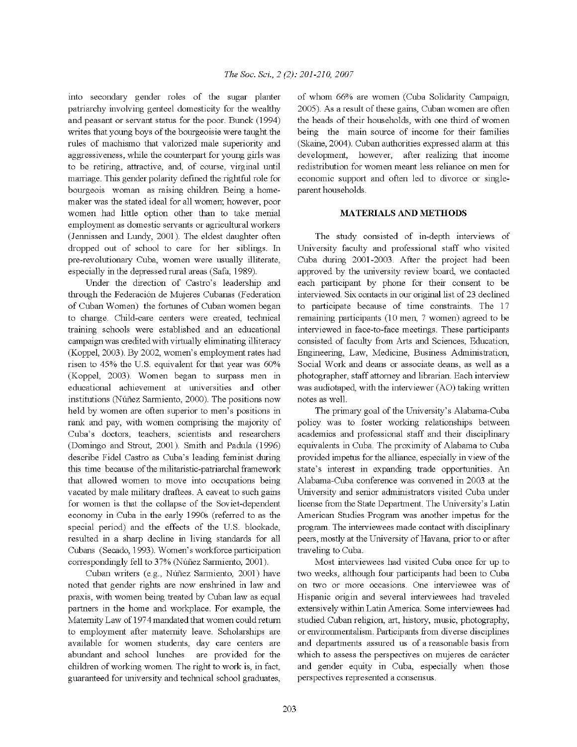into secondary gender roles of the sugar planter patriarchy involving genteel domesticity for the wealthy and peasant or servant status for the poor. Bunck (1994) writes that young boys of the bourgeoisie were taught the rules of machismo that valorized male superiority and aggressiveness, while the counterpart for young girls was to be retiring, attractive, and, of course, virginal until marriage. This gender polarity defined the rightful role for bourgeois woman as raising children. Being a homemaker was the stated ideal for all women; however, poor women had little option other than to take menial employment as domestic servants or agricultural workers (Jennissen and Lundy, 2001). The eldest daughter often dropped out of school to care for her siblings. In pre-revolutionary Cuba, women were usually illiterate, especially in the depressed rural areas (Safa, 1989).

Under the direction of Castro's leadership and through the Federación de Mujeres Cubanas (Federation of Cuban Women) the fortunes of Cuban women began to change. Child-care centers were created, technical training schools were established and an educational campaign was credited with virtually eliminating illiteracy (Koppel, 2003). By 2002, women's employment rates had risen to 45% the U.S. equivalent for that year was 60% (Koppel, 2003). Women began to surpass men in educational achievement at universities and other institutions (Nufiez Sarmiento, 2000). The positions now held by women are often superior to men's positions in rank and pay, with women comprising the majority of Cuba's doctors, teachers, scientists and researchers (Domingo and Strout, 2001). Smith and Padula (1996) describe Fidel Castro as Cuba's leading feminist during this time because of the militaristic-patriarchal framework that allowed women to move into occupations being vacated by male military draftees. A caveat to such gains for women is that the collapse of the Soviet-dependent economy in Cuba in the early 1990s (referred to as the special period) and the effects of the U.S. blockade, resulted in a sharp decline in living standards for all Cubans (Secado, 1993). Women's workforce participation correspondingly fell to 37% (Núñez Sarmiento, 2001).

Cuban writers (e.g., Nufiez Sarmiento, 2001) have noted that gender rights are now enshrined in law and praxis, with women being treated by Cuban law as equal partners in the home and workplace. For example, the Maternity Law of 1974 mandated that women could return to employment after maternity leave. Scholarships are available for women students, day care centers are abundant and school lunches are provided for the children of working women. The right to work is, in fact, guaranteed for university and technical school graduates, of whom 66% are women (Cuba Solidarity Campaign, 2005). As a result of these gains, Cuban women are often the heads of their households, with one third of women being the main source of income for their families (Skaine, 2004). Cuban authorities expressed alarm at this development, however, after realizing that income redistribution for women meant less reliance on men for economic support and often led to divorce or singleparent households.

## **MATERIALS AND METHODS**

The study consisted of in-depth interviews of University faculty and professional staff who visited Cuba during 2001-2003. After the project had been approved by the university review board, we contacted each participant by phone for their consent to be interviewed. Six contacts in our original list of 23 declined to participate because of time constraints. The 17 remaining participants (10 men, 7 women) agreed to be interviewed in face-to-face meetings. These participants consisted of faculty from Arts and Sciences, Education, Engineering, Law, Medicine, Business Administration, Social Work and deans or associate deans, as well as a photographer, staff attorney and librarian. Each interview was audiotaped, with the interviewer (AO) taking written notes as well.

The primary goal of the University's Alabama-Cuba policy was to foster working relationships between academics and professional staff and their disciplinary equivalents in Cuba. The proximity of Alabama to Cuba provided impetus for the alliance, especially in view of the state's interest in expanding trade opportunities. An Alabama-Cuba conference was convened in 2003 at the University and senior administrators visited Cuba under license from the State Department. The University's Latin American Studies Program was another impetus for the program. The interviewees made contact with disciplinary peers, mostly at the University of Havana, prior to or after traveling to Cuba.

Most interviewees had visited Cuba once for up to two weeks, although four participants had been to Cuba on two or more occasions. One interviewee was of Hispanic origin and several interviewees had traveled extensively within Latin America. Some interviewees had studied Cuban religion, art, history, music, photography, or envirornnentalism. Participants from diverse disciplines and departments assured us of a reasonable basis from which to assess the perspectives on mujeres de carácter and gender equity in Cuba, especially when those perspectives represented a consensus.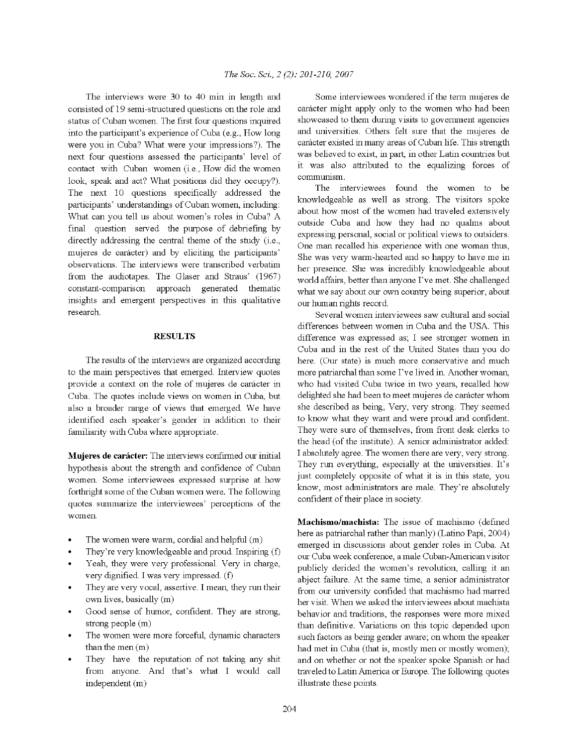The interviews were 30 to 40 min in length and consisted of 19 semi-structured questions on the role and status of Cuban women. The first four questions inquired into the participant's experience of Cuba (e.g., How long were you in Cuba? What were your impressions?). The next four questions assessed the participants' level of contact with Cuban women (i.e., How did the women look, speak and act? What positions did they occupy?). The next 10 questions specifically addressed the participants' understandings of Cuban women, including: What can you tell us about women's roles in Cuba? A final question served the purpose of debriefing by directly addressing the central theme of the study (i.e., mujeres de carácter) and by eliciting the participants' observations. The interviews were transcribed verbatim from the audiotapes. The Glaser and Straus' (1967) constant-comparison approach generated thematic insights and emergent perspectives in this qualitative research.

#### **RESULTS**

The results of the interviews are organized according to the main perspectives that emerged. Interview quotes provide a context on the role of mujeres de carácter in Cuba. The quotes include views on women in Cuba, but also a broader range of views that emerged. We have identified each speaker's gender in addition to their familiarity with Cuba where appropriate.

**Mujeres de carácter:** The interviews confirmed our initial hypothesis about the strength and confidence of Cuban women. Some interviewees expressed surprise at how forthright some of the Cuban women were. The following quotes summarize the interviewees' perceptions of the women.

- The women were warm, cordial and helpful  $(m)$
- They're very knowledgeable and proud. Inspiring (f)
- Yeah, they were very professional. Very in charge, very dignified. I was very impressed. (f)
- They are very vocal, assertive. I mean, they run their own lives, basically (m)
- Good sense of humor, confident. They are strong, strong people (m)
- The women were more forceful, dynamic characters than the men (m)
- They have the reputation of not taking any shit from anyone. And that's what I would call independent (m)

Some interviewees wondered if the term mujeres de carácter might apply only to the women who had been showcased to them during visits to goverrnnent agencies and universities. Others felt sure that the mujeres de caracter existed in many areas of Cuban life. This strength was believed to exist, in part, in other Latin countries but it was also attributed to the equalizing forces of communism.

The interviewees found the women to be knowledgeable as well as strong. The visitors spoke about how most of the women had traveled extensively outside Cuba and how they had no qualms about expressing personal, social or political views to outsiders. One man recalled his experience with one woman thus, She was very warm-hearted and so happy to have me in her presence. She was incredibly knowledgeable about world affairs, better than anyone I've met. She challenged what we say about our own country being superior, about our human rights record.

Several women interviewees saw cultural and social differences between women in Cuba and the USA. This difference was expressed as; I see stronger women in Cuba and in the rest of the United States than you do here. (Our state) is much more conservative and much more patriarchal than some I've lived in. Another woman, who had visited Cuba twice in two years, recalled how delighted she had been to meet mujeres de carácter whom she described as being, Very, very strong. They seemed to know what they want and were proud and confident. They were sure of themselves, from front desk clerks to the head (of the institute). A senior administrator added: I absolutely agree. The women there are very, very strong. They run everything, especially at the universities. It's just completely opposite of what it is in this state, you know, most administrators are male. They're absolutely confident of their place in society.

**Machismo/machista:** The issue of machismo ( defined here as patriarchal rather than manly) (Latino Papi, 2004) emerged in discussions about gender roles in Cuba. At our Cuba week conference, a male Cuban-American visitor publicly derided the women's revolution, calling it an abject failure. At the same time, a senior administrator from our university confided that machismo had marred her visit. When we asked the interviewees about machista behavior and traditions, the responses were more mixed than definitive. Variations on this topic depended upon such factors as being gender aware; on whom the speaker had met in Cuba (that is, mostly men or mostly women); and on whether or not the speaker spoke Spanish or had traveled to Latin America or Europe. The following quotes illustrate these points.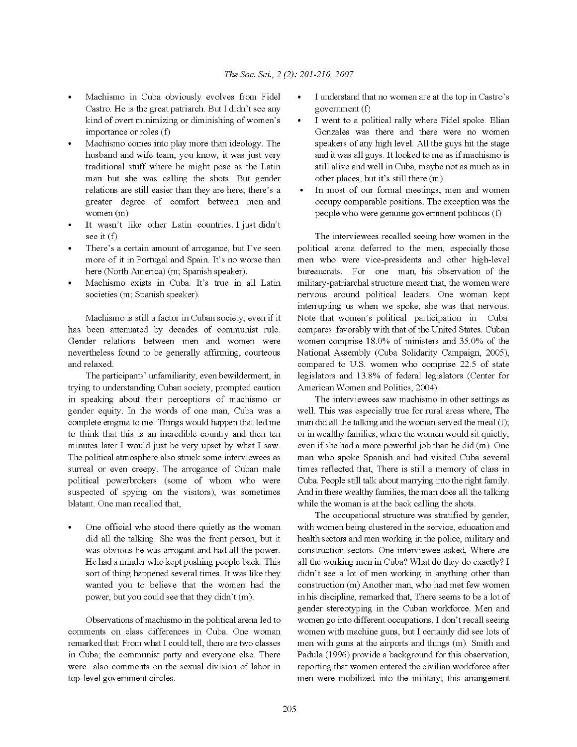- Machismo in Cuba obviously evolves from Fidel Castro. He is the great patriarch. But I didn't see any kind of overt minimizing or diminishing of women's importance or roles (f)
- Machismo comes into play more than ideology. The husband and wife team, you know, it was just very traditional stuff where he might pose as the Latin man but she was calling the shots. But gender relations are still easier than they are here; there's a greater degree of comfort between men and women (m)
- It wasn't like other Latin countries. I just didn't see it (f)
- There's a certain amount of arrogance, but I've seen more of it in Portugal and Spain. It's no worse than here (North America) (m; Spanish speaker).
- Machismo exists in Cuba. It's true in all Latin societies (m; Spanish speaker).

Machismo is still a factor in Cuban society, even if it has been attenuated by decades of communist rule. Gender relations between men and women were nevertheless found to be generally affirming, courteous and relaxed.

The participants' unfamiliarity, even bewilderment, in trying to understanding Cuban society, prompted caution in speaking about their perceptions of machismo or gender equity. In the words of one man, Cuba was a complete enigma to me. Things would happen that led me to think that this is an incredible country and then ten minutes later I would just be very upset by what I saw. The political atmosphere also struck some interviewees as surreal or even creepy. The arrogance of Cuban male political powerbrokers (some of whom who were suspected of spying on the visitors), was sometimes blatant. One man recalled that,

One official who stood there quietly as the woman did all the talking. She was the front person, but it was obvious he was arrogant and had all the power. He had a minder who kept pushing people back. This sort of thing happened several times. It was like they wanted you to believe that the women had the power, but you could see that they didn't (m).

Observations of machismo in the political arena led to comments on class differences in Cuba. One woman remarked that: From what I could tell, there are two classes in Cuba; the communist party and everyone else. There were also comments on the sexual division of labor in top-level government circles.

- I understand that no women are at the top in Castro's government (f)
- I went to a political rally where Fidel spoke. Elian Gonzales was there and there were no women speakers of any high level. All the guys hit the stage and it was all guys. It looked to me as if machismo is still alive and well in Cuba, maybe not as much as in other places, but it's still there (m)
- In most of our formal meetings, men and women occupy comparable positions. The exception was the people who were genuine government politicos (f)

The interviewees recalled seeing how women in the political arena deferred to the men, especially those men who were vice-presidents and other high-level bureaucrats. For one man, his observation of the military-patriarchal structure meant that, the women were nervous around political leaders. One woman kept interrupting us when we spoke, she was that nervous. Note that women's political participation in Cuba compares favorably with that of the United States. Cuban women comprise 18.0% of ministers and 35.0% of the National Assembly (Cuba Solidarity Campaign, 2005), compared to U.S. women who comprise 22.5 of state legislators and 13.8% of federal legislators (Center for American Women and Politics, 2004).

The interviewees saw machismo in other settings as well. This was especially true for rural areas where, The man did all the talking and the woman served the meal (f); or in wealthy families, where the women would sit quietly, even if she had a more powerful job than he did (m). One man who spoke Spanish and had visited Cuba several times reflected that, There is still a memory of class in Cuba. People still talk about marrying nito the right family. And in these wealthy families, the man does all the talking while the woman is at the back calling the shots.

The occupational structure was stratified by gender, with women being clustered in the service, education and health sectors and men working in the police, military and construction sectors. One interviewee asked, Where are all the working men in Cuba? What do they do exactly? I didn't see a lot of men working in anything other than construction (m) Another man, who had met few women in his discipline, remarked that, There seems to be a lot of gender stereotyping in the Cuban workforce. Men and women go into different occupations. I don't recall seeing women with machine guns, but I certainly did see lots of men with guns at the airports and things (m). Smith and Padula (1996) provide a background for this observation, reporting that women entered the civilian workforce after men were mobilized into the military; this arrangement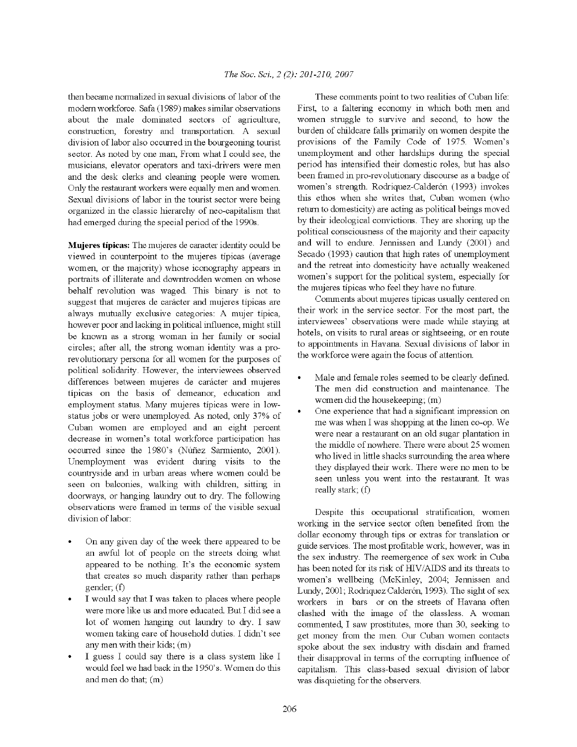then became normalized in sexual divisions of labor of the modem workforce. Safa (1989) makes similar observations about the male dominated sectors of agriculture, construction, forestry and transportation. A sexual division of labor also occurred in the bourgeoning tourist sector. As noted by one man, From what I could see, the musicians, elevator operators and taxi-drivers were men and the desk clerks and cleaning people were women. Only the restaurant workers were equally men and women. Sexual divisions of labor in the tourist sector were being organized in the classic hierarchy of neo-capitalism that had emerged during the special period of the 1990s.

**Mujeres tipicas:** The mujeres de caracter identity could be viewed in counterpoint to the mujeres tipicas (average women, or the majority) whose iconography appears in portraits of illiterate and downtrodden women on whose behalf revolution was waged. This binary is not to suggest that mujeres de carácter and mujeres típicas are always mutually exclusive categories: A mujer tipica, however poor and lacking in political influence, might still be known as a strong woman in her family or social circles; after all, the strong woman identity was a prorevolutionary persona for all women for the purposes of political solidarity. However, the interviewees observed differences between mujeres de carácter and mujeres tipicas on the basis of demeanor, education and employment status. Many mujeres tipicas were in lowstatus jobs or were unemployed. As noted, only 37% of Cuban women are employed and an eight percent decrease in women's total workforce participation has occurred since the 1980's (Nufiez Sarmiento, 2001). Unemployment was evident during visits to the countryside and in urban areas where women could be seen on balconies, walking with children, sitting in doorways, or hanging laundry out to dry. The following observations were framed in terms of the visible sexual division of labor:

- On any given day of the week there appeared to be an awful lot of people on the streets doing what appeared to be nothing. It's the economic system that creates so much disparity rather than perhaps gender; (f)
- I would say that I was taken to places where people were more like us and more educated. But I did see a lot of women hanging out laundry to dry. I saw women taking care of household duties. I didn't see any men with their kids; (m)
- I guess I could say there is a class system like I would feel we had back in the l 950's. Women do this and men do that; (m)

These comments point to two realities of Cuban life: First, to a faltering economy in which both men and women struggle to survive and second, to how the burden of childcare falls primarily on women despite the provisions of the Family Code of 1975. Women's unemployment and other hardships during the special period has intensified their domestic roles, but has also been framed in pro-revolutionary discourse as a badge of women's strength. Rodriquez-Calderón (1993) invokes this ethos when she writes that, Cuban women (who return to domesticity) are acting as political beings moved by their ideological convictions. They are shoring up the political consciousness of the majority and their capacity and will to endure. Jennissen and Lundy (2001) and Secado (1993) caution that high rates of unemployment and the retreat into domesticity have actually weakened women's support for the political system, especially for the mujeres tipicas who feel they have no future.

Comments about mujeres tipicas usually centered on their work in the service sector. For the most part, the interviewees' observations were made while staying at hotels, on visits to rural areas or sightseeing, or en route to appointments in Havana. Sexual divisions of labor in the workforce were again the focus of attention.

- Male and female roles seemed to be clearly defined. The men did construction and maintenance. The women did the housekeeping; (m)
- One experience that had a significant impression on me was when I was shopping at the linen co-op. We were near a restaurant on an old sugar plantation in the middle of nowhere. There were about 25 women who lived in little shacks surrounding the area where they displayed their work. There were no men to be seen unless you went into the restaurant. It was really stark; (f)

Despite this occupational stratification, women working in the service sector often benefited from the dollar economy through tips or extras for translation or guide services. The most profitable work, however, was in the sex industry. The reemergence of sex work in Cuba has been noted for its risk of HIV /AIDS and its threats to women's wellbeing (McKinley, 2004; Jennissen and Lundy, 2001; Rodriquez Calderón, 1993). The sight of sex workers in bars or on the streets of Havana often clashed with the image of the classless. A woman commented, I saw prostitutes, more than 30, seeking to get money from the men. Our Cuban women contacts spoke about the sex industry with disdain and framed their disapproval in terms of the corrupting influence of capitalism. This class-based sexual division of labor was disquieting for the observers.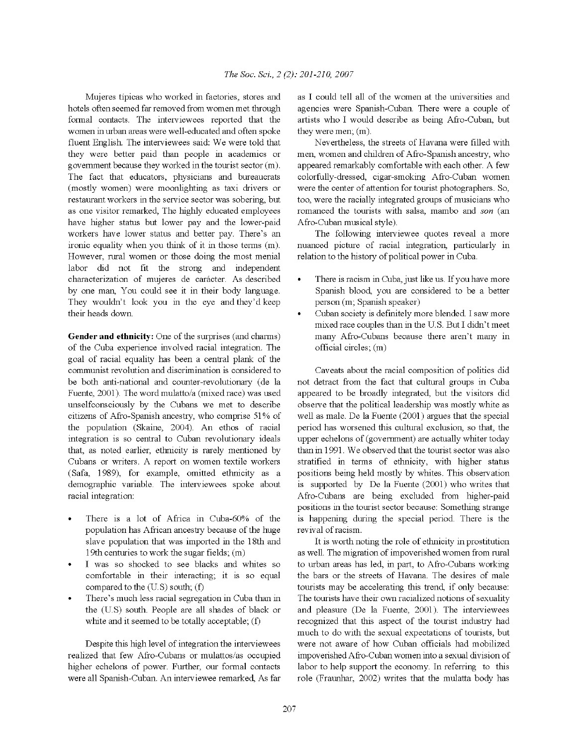Mujeres tipicas who worked in factories, stores and hotels often seemed far removed from women met through formal contacts. The interviewees reported that the women in urban areas were well-educated and often spoke fluent English. The interviewees said: We were told that they were better paid than people in academics or government because they worked in the tourist sector (m). The fact that educators, physicians and bureaucrats (mostly women) were moonlighting as taxi drivers or restaurant workers in the service sector was sobering, but as one visitor remarked, The highly educated employees have higher status but lower pay and the lower-paid workers have lower status and better pay. There's an ironic equality when you think of it in those terms (m). However, rural women or those doing the most menial labor did not fit the strong and independent characterization of mujeres de carácter. As described by one man, You could see it in their body language. They wouldn't look you in the eye and they'd keep their heads down.

**Gender and ethnicity:** One of the surprises (and charms) of the Cuba experience involved racial integration. The goal of racial equality has been a central plank of the communist revolution and discrimination is considered to be both anti-national and counter-revolutionary (de la Fuente, 2001). The word mulatto/a (mixed race) was used unselfconsciously by the Cubans we met to describe citizens of Afro-Spanish ancestry, who comprise 51 % of the population (Skaine, 2004). An ethos of racial integration is so central to Cuban revolutionary ideals that, as noted earlier, ethnicity is rarely mentioned by Cubans or writers. A report on women textile workers (Safa, 1989), for example, omitted ethnicity as a demographic variable. The interviewees spoke about racial integration:

- There is a lot of Africa in Cuba-60% of the population has African ancestry because of the huge slave population that was imported in the 18th and 19th centuries to work the sugar fields; (m)
- I was so shocked to see blacks and whites so comfortable in their interacting; it is so equal compared to the (U.S) south; (f)
- There's much less racial segregation in Cuba than in the (US) south. People are all shades of black or white and it seemed to be totally acceptable; (f)

Despite this high level of integration the interviewees realized that few Afro-Cubans or mulattos/as occupied higher echelons of power. Further, our formal contacts were all Spanish-Cuban. An interviewee remarked, As far

as I could tell all of the women at the universities and agencies were Spanish-Cuban. There were a couple of artists who I would describe as being Afro-Cuban, but they were men; (m).

Nevertheless, the streets of Havana were filled with men, women and children of Afro-Spanish ancestry, who appeared remarkably comfortable with each other. A few colorfully-dressed, cigar-smoking Afro-Cuban women were the center of attention for tourist photographers. So, too, were the racially integrated groups of musicians who romanced the tourists with salsa, mambo and *son* (an Afro-Cuban musical style).

The following interviewee quotes reveal a more nuanced picture of racial integration, particularly in relation to the history of political power in Cuba.

- There is racism in Cuba, just like us. If you have more Spanish blood, you are considered to be a better person (m; Spanish speaker)
- Cuban society is definitely more blended. I saw more mixed race couples than in the U.S. But I didn't meet many Afro-Cubans because there aren't many in official circles; (m)

Caveats about the racial composition of politics did not detract from the fact that cultural groups in Cuba appeared to be broadly integrated, but the visitors did observe that the political leadership was mostly white as well as male. De la Fuente (2001) argues that the special period has worsened this cultural exclusion, so that, the upper echelons of (goverrnnent) are actually whiter today than in 1991. We observed that the tourist sector was also stratified in terms of ethnicity, with higher status positions being held mostly by whites. This observation is supported by De la Fuente (2001) who writes that Afro-Cubans are being excluded from higher-paid positions in the tourist sector because: Something strange is happening during the special period. There is the revival of racism.

It is worth noting the role of ethnicity in prostitution as well. The migration of impoverished women from rural to urban areas has led, in part, to Afro-Cubans working the bars or the streets of Havana. The desires of male tourists may be accelerating this trend, if only because: The tourists have their own racialized notions of sexuality and pleasure (De la Fuente, 2001 ). The interviewees recognized that this aspect of the tourist industry had much to do with the sexual expectations of tourists, but were not aware of how Cuban officials had mobilized impoverished Afro-Cuban women into a sexual division of labor to help support the economy. In referring to this role (Fraunhar, 2002) writes that the mulatta body has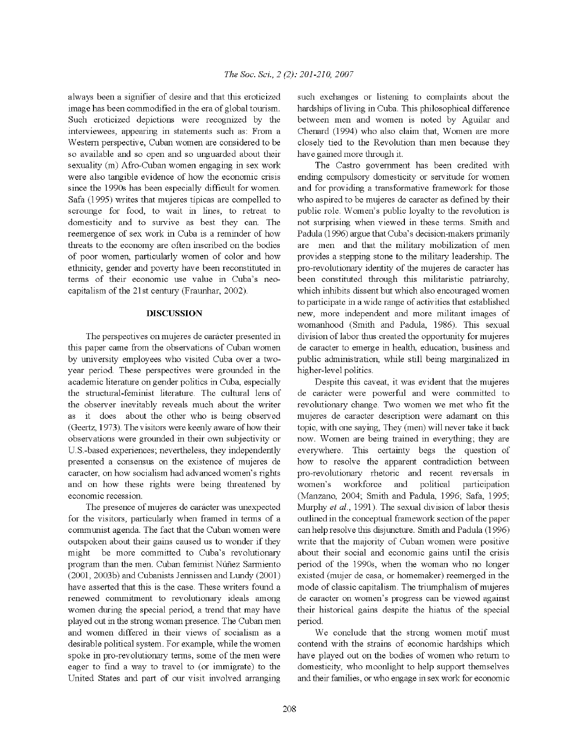always been a signifier of desire and that this eroticized image has been commodified in the era of global tourism. Such eroticized depictions were recognized by the interviewees, appearing in statements such as: From a Western perspective, Cuban women are considered to be so available and so open and so unguarded about their sexuality (m) Afro-Cuban women engaging in sex work were also tangible evidence of how the economic crisis since the 1990s has been especially difficult for women. Safa (1995) writes that mujeres tipicas are compelled to scrounge for food, to wait in lines, to retreat to domesticity and to survive as best they can. The reemergence of sex work in Cuba is a reminder of how threats to the economy are often inscribed on the bodies of poor women, particularly women of color and how ethnicity, gender and poverty have been reconstituted in terms of their economic use value in Cuba's neocapitalism of the 21st centwy (Fraunhar, 2002).

### **DISCUSSION**

The perspectives on mujeres de carácter presented in this paper came from the observations of Cuban women by university employees who visited Cuba over a twoyear period. These perspectives were grounded in the academic literature on gender politics in Cuba, especially the structural-feminist literature. The cultural lens of the observer inevitably reveals much about the writer as it does about the other who is being observed (Geertz, 1973). The visitors were keenly aware of how their observations were grounded in their own subjectivity or U.S.-based experiences; nevertheless, they independently presented a consensus on the existence of mujeres de caracter, on how socialism had advanced women's rights and on how these rights were being threatened by economic recession.

The presence of mujeres de caracter was unexpected for the visitors, particularly when framed in terms of a communist agenda. The fact that the Cuban women were outspoken about their gains caused us to wonder if they might be more committed to Cuba's revolutionary program than the men. Cuban feminist Nufiez Sarmiento (2001, 2003b) and Cubanists Jennissen and Lundy (2001) have asserted that this is the case. These writers found a renewed commitment to revolutionary ideals among women during the special period, a trend that may have played out in the strong woman presence. The Cuban men and women differed in their views of socialism as a desirable political system. For example, while the women spoke in pro-revolutionary terms, some of the men were eager to find a way to travel to (or immigrate) to the United States and part of our visit involved arranging

such exchanges or listening to complaints about the hardships of living in Cuba. This philosophical difference between men and women is noted by Aguilar and Chenard (1994) who also claim that, Women are more closely tied to the Revolution than men because they have gained more through it.

The Castro goverrnnent has been credited with ending compulsory domesticity or servitude for women and for providing a transformative framework for those who aspired to be mujeres de caracter as defined by their public role. Women's public loyalty to the revolution is not surprising when viewed in these terms. Smith and Padula (I 996) argue that Cuba's decision-makers primarily are men and that the military mobilization of men provides a stepping stone to the military leadership. The pro-revolutionary identity of the mujeres de caracter has been constituted through this militaristic patriarchy, which inhibits dissent but which also encouraged women to participate in a wide range of activities that established new, more independent and more militant images of womanhood (Smith and Padula, 1986). This sexual division of labor thus created the opportunity for mujeres de caracter to emerge in health, education, business and public administration, while still being marginalized in higher-level politics.

Despite this caveat, it was evident that the mujeres de carácter were powerful and were committed to revolutionary change. Two women we met who fit the mujeres de caracter description were adamant on this topic, with one saying, They (men) will never take it back now. Women are being trained in everything; they are everywhere. This certainty begs the question of how to resolve the apparent contradiction between pro-revolutionary rhetoric and recent reversals m women's workforce and political participation (Manzano, 2004; Smith and Padula, 1996; Safa, 1995; Murphy *et al.*, 1991). The sexual division of labor thesis outlined in the conceptual framework section of the paper can help resolve this disjuncture. Smith and Padula (1996) write that the majority of Cuban women were positive about their social and economic gains until the crisis period of the 1990s, when the woman who no longer existed (mujer de casa, or homemaker) reemerged in the mode of classic capitalism. The triumphalism of mujeres de caracter on women's progress can be viewed against their historical gains despite the hiatus of the special period.

We conclude that the strong women motif must contend with the strains of economic hardships which have played out on the bodies of women who return to domesticity, who moonlight to help support themselves and their families, or who engage in sex work for economic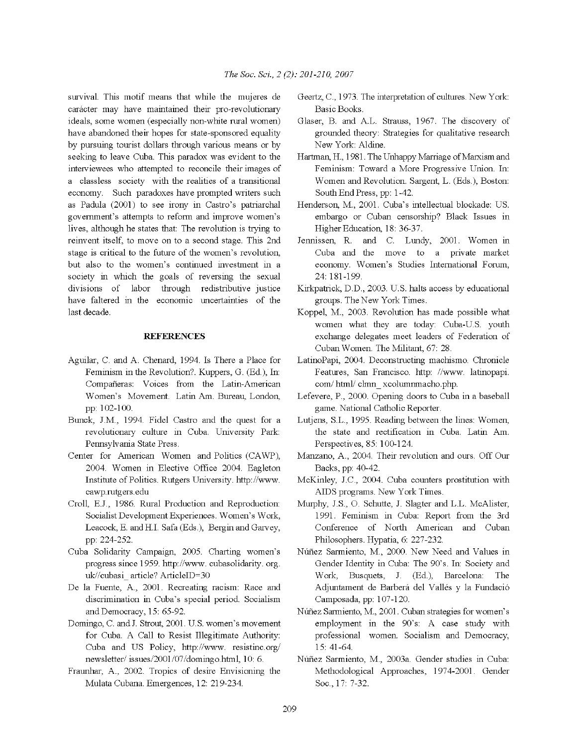survival. This motif means that while the mujeres de carácter may have maintained their pro-revolutionary ideals, some women (especially non-white rural women) have abandoned their hopes for state-sponsored equality by pursuing tourist dollars through various means or by seeking to leave Cuba. This paradox was evident to the interviewees who attempted to reconcile their images of a classless society with the realities of a transitional economy. Such paradoxes have prompted writers such as Padula (2001) to see irony in Castro's patriarchal government's attempts to reform and improve women's lives, although he states that: The revolution is trying to reinvent itself, to move on to a second stage. This 2nd stage is critical to the future of the women's revolution, but also to the women's continued investment in a society in which the goals of reversing the sexual divisions of labor through redistributive justice have faltered in the economic uncertainties of the last decade.

# **REFERENCES**

- Aguilar, C. and A. Chenard, 1994. Is There a Place for Feminism in the Revolution?. Kuppers, G. (Ed.), In: Compafieras: Voices from the Latin-American Women's Movement. Latin Am. Bureau, London, pp: 102-100.
- Bunck, J.M., 1994. Fidel Castro and the quest for a revolutionary culture in Cuba. University Park: Pennsylvania State Press.
- Center for American Women and Politics (CAWP), 2004. Women in Elective Office 2004. Eagleton Institute of Politics. Rutgers University. http://www. cawp.rutgers.edu
- Croll, EJ., 1986. Rural Production and Reproduction: Socialist Development Experiences. Women's Work, Leacock, E and HI. Safa (Eds.), Bergin and Garvey, pp: 224-252.
- Cuba Solidarity Campaign, 2005. Charting women's progress since 1959. http://www.cubasolidarity.org. uk//cubasi article? ArticleID=30
- De la Fuente, A., 2001. Recreating racism: Race and discrimination in Cuba's special period. Socialism and Democracy, 15: 65-92.
- Domingo, C. and J. Strout, 2001. U.S. women's movement for Cuba. A Call to Resist Illegitimate Authority: Cuba and US Policy, http://www. resistinc.org/ newsletter/ issues/2001 /07 /domingo.htrnl, 10: 6.
- Fraunhar, A., 2002. Tropics of desire Envisioning the Mulata Cubana. Emergences, 12: 219-234.
- Geertz, C., 1973. The interpretation of cultures. New York: Basic Books.
- Glaser, B. and AL. Strauss, 1967. The discovery of grounded theory: Strategies for qualitative research New York: Aldine.
- Hartman, H, 1981. The Unhappy Marriage of Marxism and Feminism: Toward a More Progressive Union. In: Women and Revolution. Sargent, L. (Eds.), Boston: South End Press, pp: 1-42.
- Henderson, M., 2001. Cuba's intellectual blockade: US. embargo or Cuban censorship? Black Issues in Higher Education, 18: 36-37.
- Jennissen, R. and C. Lundy, 2001. Women in Cuba and the move to a private market economy. Women's Studies International Forum, 24: 181-199.
- Kirkpatrick, D.D., 2003. U.S. halts access by educational groups. The New York Times.
- Koppel, M., 2003. Revolution has made possible what women what they are today: Cuba-U.S. youth exchange delegates meet leaders of Federation of Cuban Women. The Militant, 67: 28.
- LatinoPapi, 2004. Deconstructing machismo. Chronicle Features, San Francisco. http: //www. latinopapi. com/ html/ clmn xcolumnmacho.php.
- Lefevere, P., 2000. Opening doors to Cuba in a baseball game. National Catholic Reporter.
- Lutjens, S.L., 1995. Reading between the lines: Women, the state and rectification in Cuba. Latin Am. Perspectives, 85: 100-124.
- Manzano, A., 2004. Their revolution and ours. Off Our Backs, pp: 40-42.
- McKinley, J.C., 2004. Cuba counters prostitution with AIDS programs. New York Times.
- Mwphy, J.S., 0. Schutte, J. Slagter and L.L. McAlister, 1991. Feminism in Cuba: Report from the 3rd Conference of North American and Cuban Philosophers. Hypatia, 6: 227-232.
- Nufiez Sarmiento, M., 2000. New Need and Values in Gender Identity in Cuba: The 90's. In: Society and Work, Busquets, J. (Ed.), Barcelona: The Adjuntament de Barberá del Vallés y la Fundació Camposada, pp: 107-120.
- Nufiez Sarmiento, M., 2001. Cuban strategies for women's employment in the 90's: A case study with professional women. Socialism and Democracy, 15: 41-64.
- Nufiez Sarmiento, M., 2003a. Gender studies in Cuba: Methodological Approaches, 1974-2001. Gender Soc., 17: 7-32.